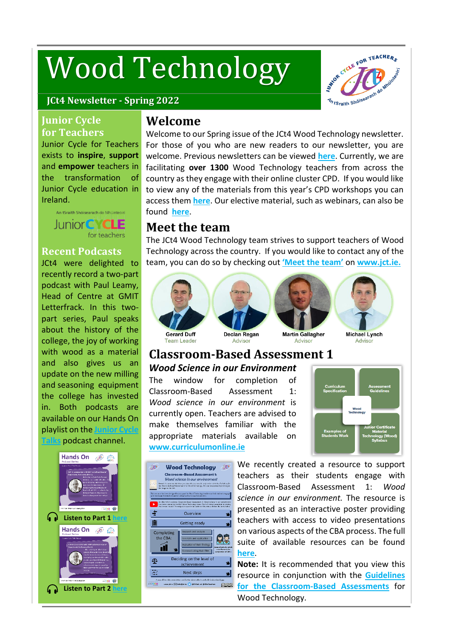# Wood Technology



#### **JCt4 Newsletter - Spring 2022**

#### **Junior Cycle for Teachers**

Junior Cycle for Teachers exists to **inspire**, **support** and **empower** teachers in the transformation of Junior Cycle education in Ireland.



#### **Recent Podcasts**

JCt4 were delighted to recently record a two-part podcast with Paul Leamy, Head of Centre at GMIT Letterfrack. In this twopart series, Paul speaks about the history of the college, the joy of working with wood as a material and also gives us an update on the new milling and seasoning equipment the college has invested in. Both podcasts are available on our Hands On playlist on the **[Junior](https://soundcloud.com/user-65250337/sets/jct4?si=ceccafa481234cdeb198f7eebed1c7fc&utm_source=clipboard&utm_medium=text&utm_campaign=social_sharing) Cycle [Talks](https://soundcloud.com/user-65250337/sets/jct4?si=ceccafa481234cdeb198f7eebed1c7fc&utm_source=clipboard&utm_medium=text&utm_campaign=social_sharing)** podcast channel.



## **Welcome**

Welcome to our Spring issue of the JCt4 Wood Technology newsletter. For those of you who are new readers to our newsletter, you are welcome. Previous newsletters can be viewed **[here](https://www.jct.ie/technologies/news_events)**. Currently, we are facilitating **over 1300** Wood Technology teachers from across the country as they engage with their online cluster CPD. If you would like to view any of the materials from this year's CPD workshops you can access them **[here](https://jct.ie/technologies/cpd_supports_wood_technology_cpd_workshops_2021_2022)**. Our elective material, such as webinars, can also be found **[here](https://www.jct.ie/technologies/cpd_supports_wood_technology_elective_workshops)**.

# **Meet the team**

The JCt4 Wood Technology team strives to support teachers of Wood Technology across the country. If you would like to contact any of the team, you can do so by checking out **['Meet](https://www.jct.ie/home/meet_the_team.php#spy_technologiesadvisors) the team'** on **[www.jct.ie.](http://www.jct.ie/)**



Team Leader







Declan Regan Advisor

**Martin Gallagher** Advisor

**Michael Lynch** Advisor

## **Classroom-Based Assessment 1** *Wood Science in our Environment*

The window for completion of Classroom-Based Assessment 1: *Wood science in our environment* is currently open. Teachers are advised to make themselves familiar with the appropriate materials available on **[www.curriculumonline.ie](https://www.curriculumonline.ie/Junior-cycle/Junior-Cycle-Subjects/Wood-Technology/Examples-of-Student-Work/Examples-of-Classroom-Based-Assessment-1/)**





We recently created a resource to support teachers as their students engage with Classroom-Based Assessment 1: *Wood science in our environment.* The resource is presented as an interactive poster providing teachers with access to video presentations on various aspects of the CBA process. The full suite of available resources can be found **[here](https://jct.ie/technologies/assessment_wood_technology#CBA1InteractivePoster)**.

**[N](https://jct.ie/technologies/assessment_wood_technology#CBA1InteractivePoster)ote:** It is recommended that you view this resource in conjunction with the **[Guidelines](https://www.curriculumonline.ie/Junior-cycle/Junior-Cycle-Subjects/Wood-Technology/?lang=ga-ie) for the [Classroom-Based](https://www.curriculumonline.ie/Junior-cycle/Junior-Cycle-Subjects/Wood-Technology/?lang=ga-ie) Assessments** for Wood Technology.